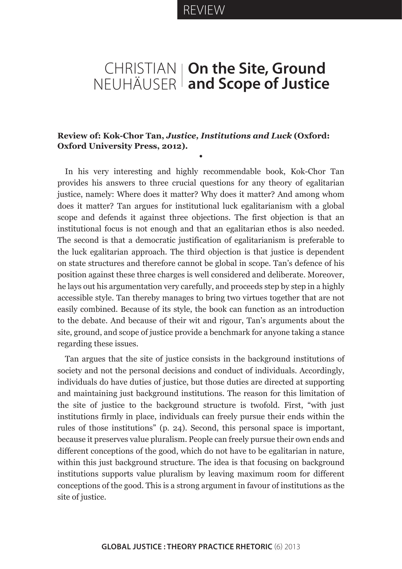## CHRISTIAN NEUHÄUSER **On the Site, Ground and Scope of Justice**

## **Review of: Kok-Chor Tan,** *Justice, Institutions and Luck* **(Oxford: Oxford University Press, 2012).**

**•**

In his very interesting and highly recommendable book, Kok-Chor Tan provides his answers to three crucial questions for any theory of egalitarian justice, namely: Where does it matter? Why does it matter? And among whom does it matter? Tan argues for institutional luck egalitarianism with a global scope and defends it against three objections. The first objection is that an institutional focus is not enough and that an egalitarian ethos is also needed. The second is that a democratic justification of egalitarianism is preferable to the luck egalitarian approach. The third objection is that justice is dependent on state structures and therefore cannot be global in scope. Tan's defence of his position against these three charges is well considered and deliberate. Moreover, he lays out his argumentation very carefully, and proceeds step by step in a highly accessible style. Tan thereby manages to bring two virtues together that are not easily combined. Because of its style, the book can function as an introduction to the debate. And because of their wit and rigour, Tan's arguments about the site, ground, and scope of justice provide a benchmark for anyone taking a stance regarding these issues.

Tan argues that the site of justice consists in the background institutions of society and not the personal decisions and conduct of individuals. Accordingly, individuals do have duties of justice, but those duties are directed at supporting and maintaining just background institutions. The reason for this limitation of the site of justice to the background structure is twofold. First, "with just institutions firmly in place, individuals can freely pursue their ends within the rules of those institutions" (p. 24). Second, this personal space is important, because it preserves value pluralism. People can freely pursue their own ends and different conceptions of the good, which do not have to be egalitarian in nature, within this just background structure. The idea is that focusing on background institutions supports value pluralism by leaving maximum room for different conceptions of the good. This is a strong argument in favour of institutions as the site of justice.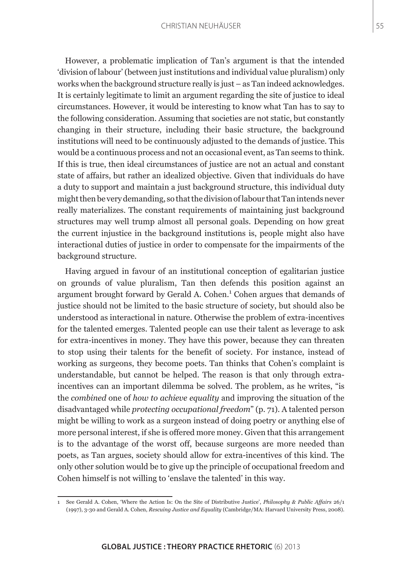However, a problematic implication of Tan's argument is that the intended 'division of labour' (between just institutions and individual value pluralism) only works when the background structure really is just – as Tan indeed acknowledges. It is certainly legitimate to limit an argument regarding the site of justice to ideal circumstances. However, it would be interesting to know what Tan has to say to the following consideration. Assuming that societies are not static, but constantly changing in their structure, including their basic structure, the background institutions will need to be continuously adjusted to the demands of justice. This would be a continuous process and not an occasional event, as Tan seems to think. If this is true, then ideal circumstances of justice are not an actual and constant state of affairs, but rather an idealized objective. Given that individuals do have a duty to support and maintain a just background structure, this individual duty might then be very demanding, so that the division of labour that Tan intends never really materializes. The constant requirements of maintaining just background structures may well trump almost all personal goals. Depending on how great the current injustice in the background institutions is, people might also have interactional duties of justice in order to compensate for the impairments of the background structure.

Having argued in favour of an institutional conception of egalitarian justice on grounds of value pluralism, Tan then defends this position against an argument brought forward by Gerald A. Cohen.<sup>1</sup> Cohen argues that demands of justice should not be limited to the basic structure of society, but should also be understood as interactional in nature. Otherwise the problem of extra-incentives for the talented emerges. Talented people can use their talent as leverage to ask for extra-incentives in money. They have this power, because they can threaten to stop using their talents for the benefit of society. For instance, instead of working as surgeons, they become poets. Tan thinks that Cohen's complaint is understandable, but cannot be helped. The reason is that only through extraincentives can an important dilemma be solved. The problem, as he writes, "is the *combined* one of *how to achieve equality* and improving the situation of the disadvantaged while *protecting occupational freedom*" (p. 71). A talented person might be willing to work as a surgeon instead of doing poetry or anything else of more personal interest, if she is offered more money. Given that this arrangement is to the advantage of the worst off, because surgeons are more needed than poets, as Tan argues, society should allow for extra-incentives of this kind. The only other solution would be to give up the principle of occupational freedom and Cohen himself is not willing to 'enslave the talented' in this way.

<sup>1</sup> See Gerald A. Cohen, 'Where the Action Is: On the Site of Distributive Justice', *Philosophy & Public Affairs* 26/1 (1997), 3-30 and Gerald A. Cohen, *Rescuing Justice and Equality* (Cambridge/MA: Harvard University Press, 2008).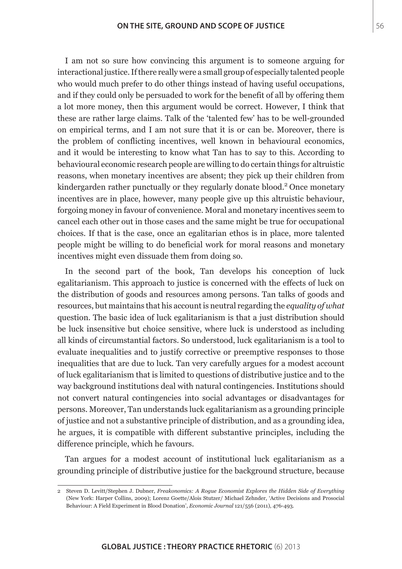I am not so sure how convincing this argument is to someone arguing for interactional justice. If there really were a small group of especially talented people who would much prefer to do other things instead of having useful occupations, and if they could only be persuaded to work for the benefit of all by offering them a lot more money, then this argument would be correct. However, I think that these are rather large claims. Talk of the 'talented few' has to be well-grounded on empirical terms, and I am not sure that it is or can be. Moreover, there is the problem of conflicting incentives, well known in behavioural economics, and it would be interesting to know what Tan has to say to this. According to behavioural economic research people are willing to do certain things for altruistic reasons, when monetary incentives are absent; they pick up their children from kindergarden rather punctually or they regularly donate blood.<sup>2</sup> Once monetary incentives are in place, however, many people give up this altruistic behaviour, forgoing money in favour of convenience. Moral and monetary incentives seem to cancel each other out in those cases and the same might be true for occupational choices. If that is the case, once an egalitarian ethos is in place, more talented people might be willing to do beneficial work for moral reasons and monetary incentives might even dissuade them from doing so.

In the second part of the book, Tan develops his conception of luck egalitarianism. This approach to justice is concerned with the effects of luck on the distribution of goods and resources among persons. Tan talks of goods and resources, but maintains that his account is neutral regarding the *equality of what* question. The basic idea of luck egalitarianism is that a just distribution should be luck insensitive but choice sensitive, where luck is understood as including all kinds of circumstantial factors. So understood, luck egalitarianism is a tool to evaluate inequalities and to justify corrective or preemptive responses to those inequalities that are due to luck. Tan very carefully argues for a modest account of luck egalitarianism that is limited to questions of distributive justice and to the way background institutions deal with natural contingencies. Institutions should not convert natural contingencies into social advantages or disadvantages for persons. Moreover, Tan understands luck egalitarianism as a grounding principle of justice and not a substantive principle of distribution, and as a grounding idea, he argues, it is compatible with different substantive principles, including the difference principle, which he favours.

Tan argues for a modest account of institutional luck egalitarianism as a grounding principle of distributive justice for the background structure, because

<sup>2</sup> Steven D. Levitt/Stephen J. Dubner, *Freakonomics: A Rogue Economist Explores the Hidden Side of Everything* (New York: Harper Collins, 2009); Lorenz Goette/Alois Stutzer/ Michael Zehnder, 'Active Decisions and Prosocial Behaviour: A Field Experiment in Blood Donation', *Economic Journal* 121/556 (2011), 476-493.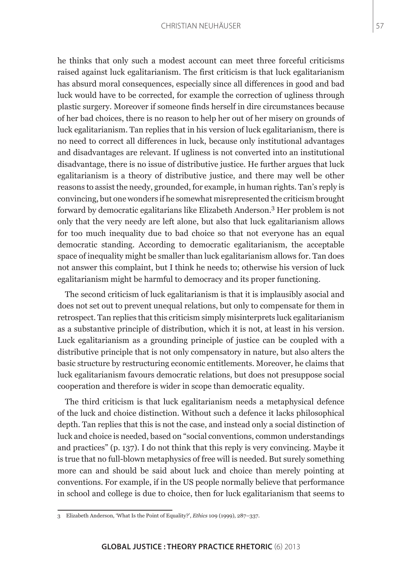he thinks that only such a modest account can meet three forceful criticisms raised against luck egalitarianism. The first criticism is that luck egalitarianism has absurd moral consequences, especially since all differences in good and bad luck would have to be corrected, for example the correction of ugliness through plastic surgery. Moreover if someone finds herself in dire circumstances because of her bad choices, there is no reason to help her out of her misery on grounds of luck egalitarianism. Tan replies that in his version of luck egalitarianism, there is no need to correct all differences in luck, because only institutional advantages and disadvantages are relevant. If ugliness is not converted into an institutional disadvantage, there is no issue of distributive justice. He further argues that luck egalitarianism is a theory of distributive justice, and there may well be other reasons to assist the needy, grounded, for example, in human rights. Tan's reply is convincing, but one wonders if he somewhat misrepresented the criticism brought forward by democratic egalitarians like Elizabeth Anderson.<sup>3</sup> Her problem is not only that the very needy are left alone, but also that luck egalitarianism allows for too much inequality due to bad choice so that not everyone has an equal democratic standing. According to democratic egalitarianism, the acceptable space of inequality might be smaller than luck egalitarianism allows for. Tan does not answer this complaint, but I think he needs to; otherwise his version of luck egalitarianism might be harmful to democracy and its proper functioning.

The second criticism of luck egalitarianism is that it is implausibly asocial and does not set out to prevent unequal relations, but only to compensate for them in retrospect. Tan replies that this criticism simply misinterprets luck egalitarianism as a substantive principle of distribution, which it is not, at least in his version. Luck egalitarianism as a grounding principle of justice can be coupled with a distributive principle that is not only compensatory in nature, but also alters the basic structure by restructuring economic entitlements. Moreover, he claims that luck egalitarianism favours democratic relations, but does not presuppose social cooperation and therefore is wider in scope than democratic equality.

The third criticism is that luck egalitarianism needs a metaphysical defence of the luck and choice distinction. Without such a defence it lacks philosophical depth. Tan replies that this is not the case, and instead only a social distinction of luck and choice is needed, based on "social conventions, common understandings and practices" (p. 137). I do not think that this reply is very convincing. Maybe it is true that no full-blown metaphysics of free will is needed. But surely something more can and should be said about luck and choice than merely pointing at conventions. For example, if in the US people normally believe that performance in school and college is due to choice, then for luck egalitarianism that seems to

<sup>3</sup> Elizabeth Anderson, 'What Is the Point of Equality?', *Ethics* 109 (1999), 287–337.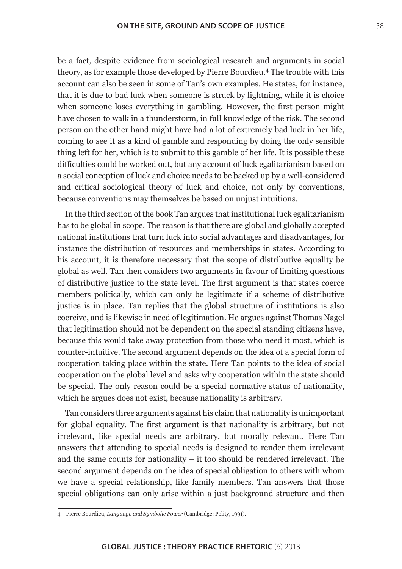be a fact, despite evidence from sociological research and arguments in social theory, as for example those developed by Pierre Bourdieu.4 The trouble with this account can also be seen in some of Tan's own examples. He states, for instance, that it is due to bad luck when someone is struck by lightning, while it is choice when someone loses everything in gambling. However, the first person might have chosen to walk in a thunderstorm, in full knowledge of the risk. The second person on the other hand might have had a lot of extremely bad luck in her life, coming to see it as a kind of gamble and responding by doing the only sensible thing left for her, which is to submit to this gamble of her life. It is possible these difficulties could be worked out, but any account of luck egalitarianism based on a social conception of luck and choice needs to be backed up by a well-considered and critical sociological theory of luck and choice, not only by conventions, because conventions may themselves be based on unjust intuitions.

In the third section of the book Tan argues that institutional luck egalitarianism has to be global in scope. The reason is that there are global and globally accepted national institutions that turn luck into social advantages and disadvantages, for instance the distribution of resources and memberships in states. According to his account, it is therefore necessary that the scope of distributive equality be global as well. Tan then considers two arguments in favour of limiting questions of distributive justice to the state level. The first argument is that states coerce members politically, which can only be legitimate if a scheme of distributive justice is in place. Tan replies that the global structure of institutions is also coercive, and is likewise in need of legitimation. He argues against Thomas Nagel that legitimation should not be dependent on the special standing citizens have, because this would take away protection from those who need it most, which is counter-intuitive. The second argument depends on the idea of a special form of cooperation taking place within the state. Here Tan points to the idea of social cooperation on the global level and asks why cooperation within the state should be special. The only reason could be a special normative status of nationality, which he argues does not exist, because nationality is arbitrary.

Tan considers three arguments against his claim that nationality is unimportant for global equality. The first argument is that nationality is arbitrary, but not irrelevant, like special needs are arbitrary, but morally relevant. Here Tan answers that attending to special needs is designed to render them irrelevant and the same counts for nationality – it too should be rendered irrelevant. The second argument depends on the idea of special obligation to others with whom we have a special relationship, like family members. Tan answers that those special obligations can only arise within a just background structure and then

<sup>4</sup> Pierre Bourdieu, *Language and Symbolic Power* (Cambridge: Polity, 1991).